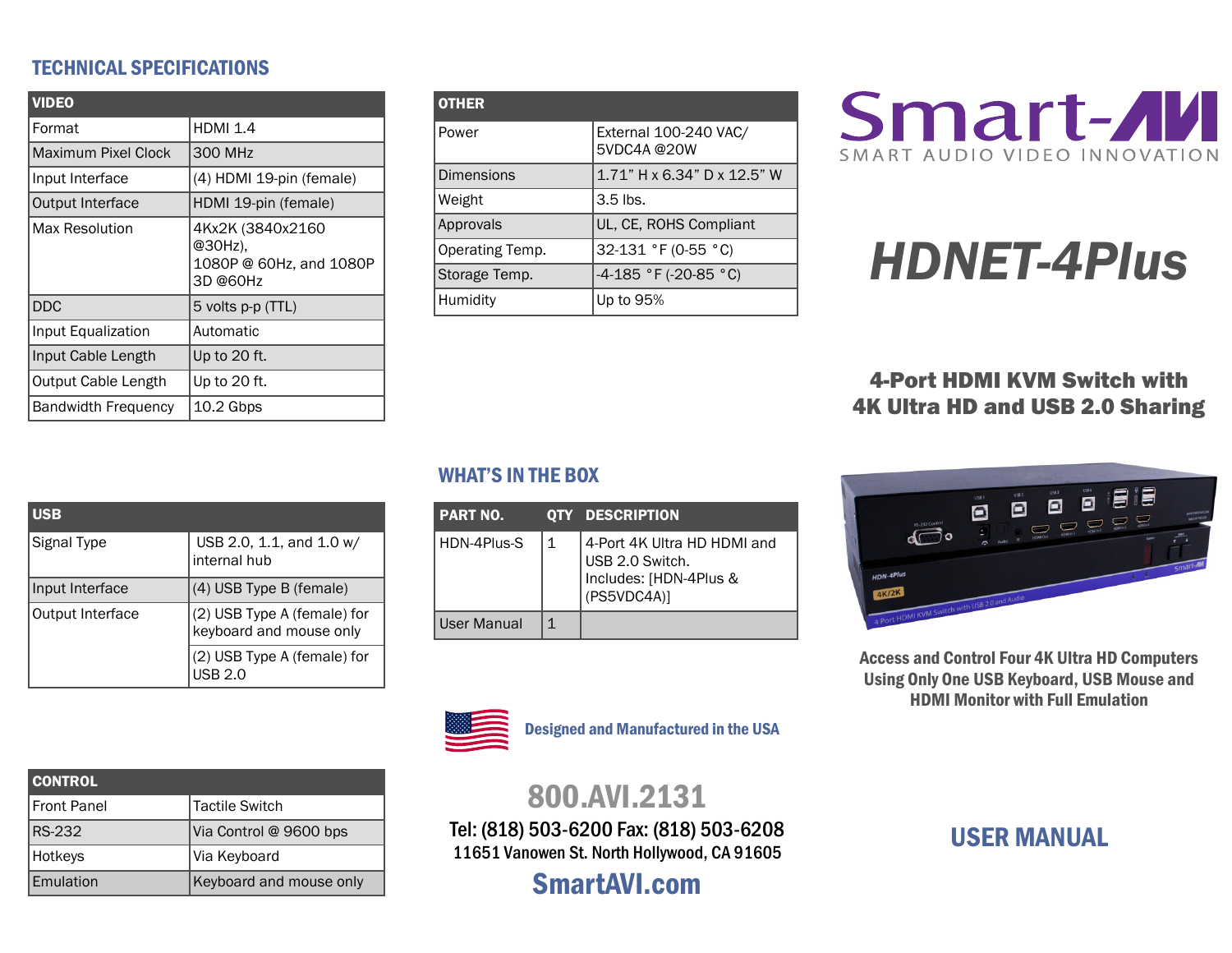## TECHNICAL SPECIFICATIONS

| <b>VIDEO</b>               |                                                                    |  |  |
|----------------------------|--------------------------------------------------------------------|--|--|
| Format                     | <b>HDMI 1.4</b>                                                    |  |  |
| Maximum Pixel Clock        | 300 MHz                                                            |  |  |
| Input Interface            | (4) HDMI 19-pin (female)                                           |  |  |
| Output Interface           | HDMI 19-pin (female)                                               |  |  |
| Max Resolution             | 4Kx2K (3840x2160<br>@30Hz),<br>1080P @ 60Hz, and 1080P<br>3D @60Hz |  |  |
| <b>DDC</b>                 | 5 volts p-p (TTL)                                                  |  |  |
| Input Equalization         | Automatic                                                          |  |  |
| Input Cable Length         | Up to 20 ft.                                                       |  |  |
| <b>Output Cable Length</b> | Up to 20 ft.                                                       |  |  |
| <b>Bandwidth Frequency</b> | 10.2 Gbps                                                          |  |  |

| <b>OTHER</b>      |                                     |  |  |
|-------------------|-------------------------------------|--|--|
| Power             | External 100-240 VAC/<br>5VDC4A@20W |  |  |
| <b>Dimensions</b> | 1.71" H x 6.34" D x 12.5" W         |  |  |
| Weight            | $3.5$ lbs.                          |  |  |
| Approvals         | UL, CE, ROHS Compliant              |  |  |
| Operating Temp.   | 32-131 °F (0-55 °C)                 |  |  |
| Storage Temp.     | $-4-185$ °F (-20-85 °C)             |  |  |
| Humidity          | Up to 95%                           |  |  |



# HDNET-4Plus

4-Port HDMI KVM Switch with 4K Ultra HD and USB 2.0 Sharing

| <b>USB</b>       |                                                        |  |
|------------------|--------------------------------------------------------|--|
| Signal Type      | USB 2.0, 1.1, and 1.0 w/<br>internal hub               |  |
| Input Interface  | (4) USB Type B (female)                                |  |
| Output Interface | (2) USB Type A (female) for<br>keyboard and mouse only |  |
|                  | (2) USB Type A (female) for<br>JSB 2.0                 |  |

# WHAT'S IN THE BOX

| <b>PART NO.</b> |   | <b>QTY DESCRIPTION</b>                                                                  |
|-----------------|---|-----------------------------------------------------------------------------------------|
| HDN-4Plus-S     | 1 | 4-Port 4K Ultra HD HDMI and<br>USB 2.0 Switch.<br>Includes: [HDN-4Plus &<br>(PS5VDC4A)] |
| User Manual     | 1 |                                                                                         |



Designed and Manufactured in the USA

# 800.AVI.2131

Tel: (818) 503-6200 Fax: (818) 503-6208 11651 Vanowen St. North Hollywood, CA 91605

SmartAVI.com

#### 昌  $\blacksquare$  $\Box$  $\Box$  $\Box$  $\overbrace{ }$ HDN-4Plu

Access and Control Four 4K Ultra HD Computers Using Only One USB Keyboard, USB Mouse and HDMI Monitor with Full Emulation

| <b>USER MANUAL</b> |
|--------------------|
|--------------------|

| <b>CONTROL</b> |                         |
|----------------|-------------------------|
| Front Panel    | Tactile Switch          |
| RS-232         | Via Control @ 9600 bps  |
| Hotkeys        | Via Keyboard            |
| Emulation      | Keyboard and mouse only |